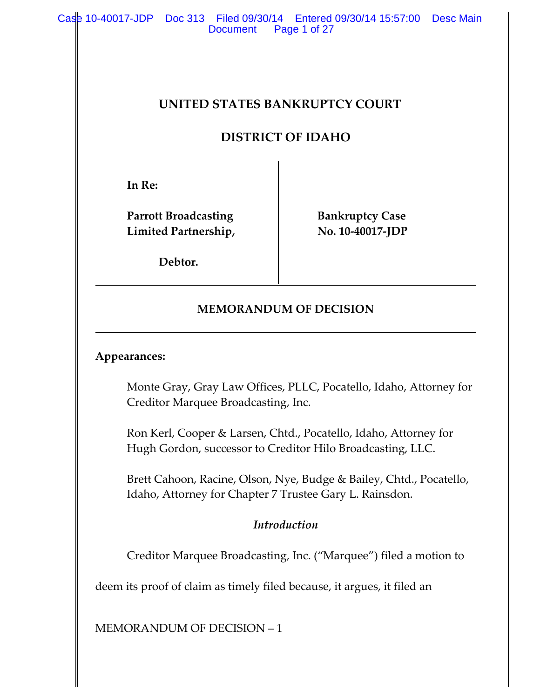Case 10-40017-JDP Doc 313 Filed 09/30/14 Entered 09/30/14 15:57:00 Desc Main Document Page 1 of 27

## **UNITED STATES BANKRUPTCY COURT**

## **DISTRICT OF IDAHO**

**In Re:**

**Parrott Broadcasting Fankruptcy Case l** No. 10-40017-JDP

**Debtor.**

## **MEMORANDUM OF DECISION**

### **Appearances:**

Monte Gray, Gray Law Offices, PLLC, Pocatello, Idaho, Attorney for Creditor Marquee Broadcasting, Inc.

Ron Kerl, Cooper & Larsen, Chtd., Pocatello, Idaho, Attorney for Hugh Gordon, successor to Creditor Hilo Broadcasting, LLC.

Brett Cahoon, Racine, Olson, Nye, Budge & Bailey, Chtd., Pocatello, Idaho, Attorney for Chapter 7 Trustee Gary L. Rainsdon.

### *Introduction*

Creditor Marquee Broadcasting, Inc. ("Marquee") filed a motion to

deem its proof of claim as timely filed because, it argues, it filed an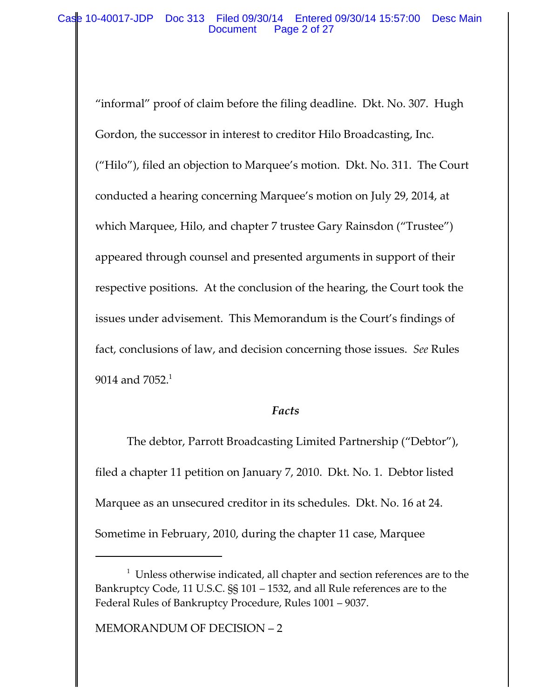"informal" proof of claim before the filing deadline. Dkt. No. 307. Hugh Gordon, the successor in interest to creditor Hilo Broadcasting, Inc. ("Hilo"), filed an objection to Marquee's motion. Dkt. No. 311. The Court conducted a hearing concerning Marquee's motion on July 29, 2014, at which Marquee, Hilo, and chapter 7 trustee Gary Rainsdon ("Trustee") appeared through counsel and presented arguments in support of their respective positions. At the conclusion of the hearing, the Court took the issues under advisement. This Memorandum is the Court's findings of fact, conclusions of law, and decision concerning those issues. *See* Rules 9014 and  $7052.<sup>1</sup>$ 

### *Facts*

The debtor, Parrott Broadcasting Limited Partnership ("Debtor"), filed a chapter 11 petition on January 7, 2010. Dkt. No. 1. Debtor listed Marquee as an unsecured creditor in its schedules. Dkt. No. 16 at 24. Sometime in February, 2010, during the chapter 11 case, Marquee

 $1$  Unless otherwise indicated, all chapter and section references are to the Bankruptcy Code, 11 U.S.C. §§ 101 – 1532, and all Rule references are to the Federal Rules of Bankruptcy Procedure, Rules 1001 – 9037.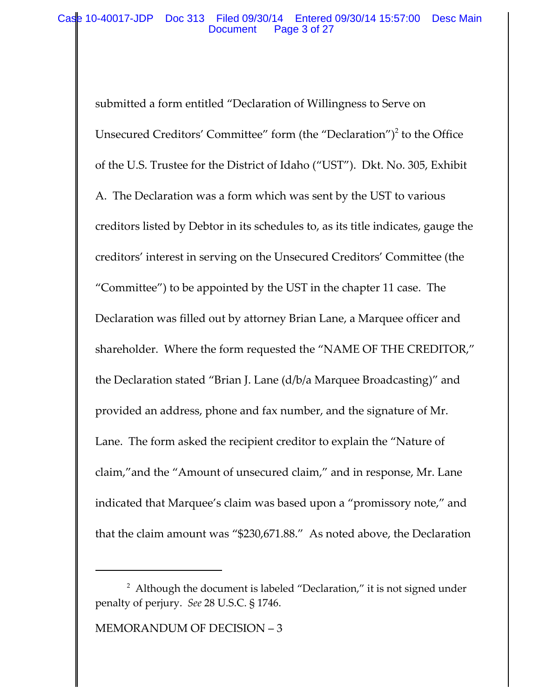submitted a form entitled "Declaration of Willingness to Serve on Unsecured Creditors' Committee" form (the "Declaration")<sup>2</sup> to the Office of the U.S. Trustee for the District of Idaho ("UST"). Dkt. No. 305, Exhibit A. The Declaration was a form which was sent by the UST to various creditors listed by Debtor in its schedules to, as its title indicates, gauge the creditors' interest in serving on the Unsecured Creditors' Committee (the "Committee") to be appointed by the UST in the chapter 11 case. The Declaration was filled out by attorney Brian Lane, a Marquee officer and shareholder. Where the form requested the "NAME OF THE CREDITOR," the Declaration stated "Brian J. Lane (d/b/a Marquee Broadcasting)" and provided an address, phone and fax number, and the signature of Mr. Lane. The form asked the recipient creditor to explain the "Nature of claim,"and the "Amount of unsecured claim," and in response, Mr. Lane indicated that Marquee's claim was based upon a "promissory note," and that the claim amount was "\$230,671.88." As noted above, the Declaration

 $^2$  Although the document is labeled "Declaration," it is not signed under penalty of perjury. *See* 28 U.S.C. § 1746.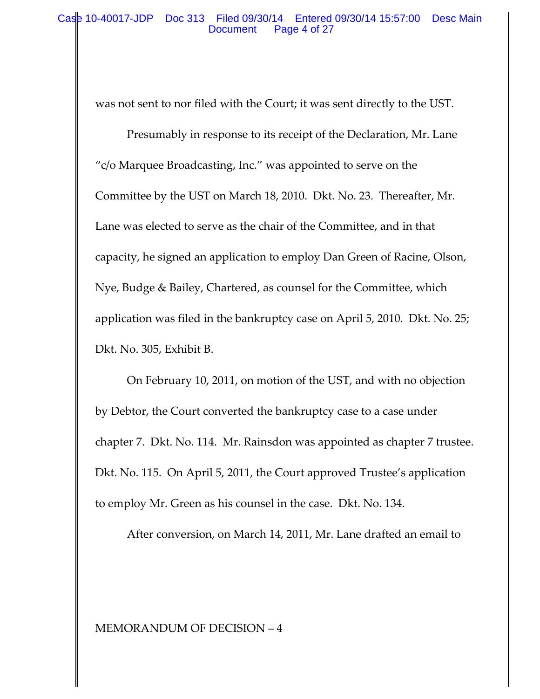was not sent to nor filed with the Court; it was sent directly to the UST.

Presumably in response to its receipt of the Declaration, Mr. Lane "c/o Marquee Broadcasting, Inc." was appointed to serve on the Committee by the UST on March 18, 2010. Dkt. No. 23. Thereafter, Mr. Lane was elected to serve as the chair of the Committee, and in that capacity, he signed an application to employ Dan Green of Racine, Olson, Nye, Budge & Bailey, Chartered, as counsel for the Committee, which application was filed in the bankruptcy case on April 5, 2010. Dkt. No. 25; Dkt. No. 305, Exhibit B.

On February 10, 2011, on motion of the UST, and with no objection by Debtor, the Court converted the bankruptcy case to a case under chapter 7. Dkt. No. 114. Mr. Rainsdon was appointed as chapter 7 trustee. Dkt. No. 115. On April 5, 2011, the Court approved Trustee's application to employ Mr. Green as his counsel in the case. Dkt. No. 134.

After conversion, on March 14, 2011, Mr. Lane drafted an email to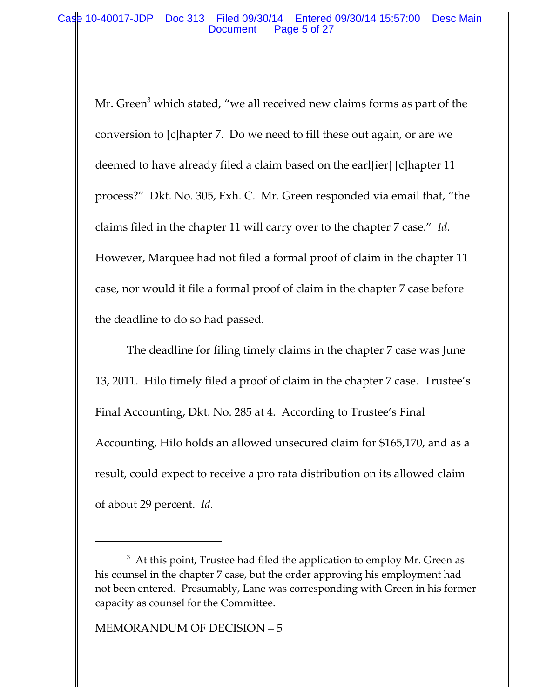Mr. Green<sup>3</sup> which stated, "we all received new claims forms as part of the conversion to [c]hapter 7. Do we need to fill these out again, or are we deemed to have already filed a claim based on the earl[ier] [c]hapter 11 process?" Dkt. No. 305, Exh. C. Mr. Green responded via email that, "the claims filed in the chapter 11 will carry over to the chapter 7 case." *Id.* However, Marquee had not filed a formal proof of claim in the chapter 11 case, nor would it file a formal proof of claim in the chapter 7 case before the deadline to do so had passed.

The deadline for filing timely claims in the chapter 7 case was June 13, 2011. Hilo timely filed a proof of claim in the chapter 7 case. Trustee's Final Accounting, Dkt. No. 285 at 4. According to Trustee's Final Accounting, Hilo holds an allowed unsecured claim for \$165,170, and as a result, could expect to receive a pro rata distribution on its allowed claim of about 29 percent. *Id.*

 $^3\,$  At this point, Trustee had filed the application to employ Mr. Green as his counsel in the chapter 7 case, but the order approving his employment had not been entered. Presumably, Lane was corresponding with Green in his former capacity as counsel for the Committee.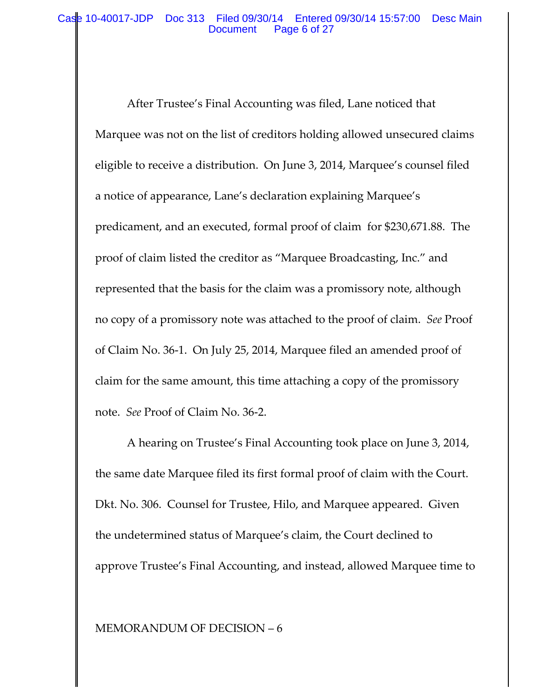### Case 10-40017-JDP Doc 313 Filed 09/30/14 Entered 09/30/14 15:57:00 Desc Main Document Page 6 of 27

After Trustee's Final Accounting was filed, Lane noticed that Marquee was not on the list of creditors holding allowed unsecured claims eligible to receive a distribution. On June 3, 2014, Marquee's counsel filed a notice of appearance, Lane's declaration explaining Marquee's predicament, and an executed, formal proof of claim for \$230,671.88. The proof of claim listed the creditor as "Marquee Broadcasting, Inc." and represented that the basis for the claim was a promissory note, although no copy of a promissory note was attached to the proof of claim. *See* Proof of Claim No. 36‐1. On July 25, 2014, Marquee filed an amended proof of claim for the same amount, this time attaching a copy of the promissory note. *See* Proof of Claim No. 36‐2.

A hearing on Trustee's Final Accounting took place on June 3, 2014, the same date Marquee filed its first formal proof of claim with the Court. Dkt. No. 306. Counsel for Trustee, Hilo, and Marquee appeared. Given the undetermined status of Marquee's claim, the Court declined to approve Trustee's Final Accounting, and instead, allowed Marquee time to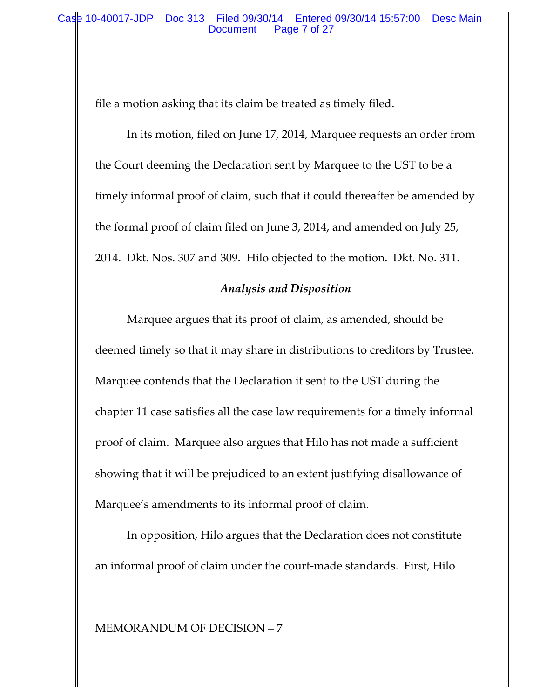file a motion asking that its claim be treated as timely filed.

In its motion, filed on June 17, 2014, Marquee requests an order from the Court deeming the Declaration sent by Marquee to the UST to be a timely informal proof of claim, such that it could thereafter be amended by the formal proof of claim filed on June 3, 2014, and amended on July 25, 2014. Dkt. Nos. 307 and 309. Hilo objected to the motion. Dkt. No. 311.

## *Analysis and Disposition*

Marquee argues that its proof of claim, as amended, should be deemed timely so that it may share in distributions to creditors by Trustee. Marquee contends that the Declaration it sent to the UST during the chapter 11 case satisfies all the case law requirements for a timely informal proof of claim. Marquee also argues that Hilo has not made a sufficient showing that it will be prejudiced to an extent justifying disallowance of Marquee's amendments to its informal proof of claim.

In opposition, Hilo argues that the Declaration does not constitute an informal proof of claim under the court‐made standards. First, Hilo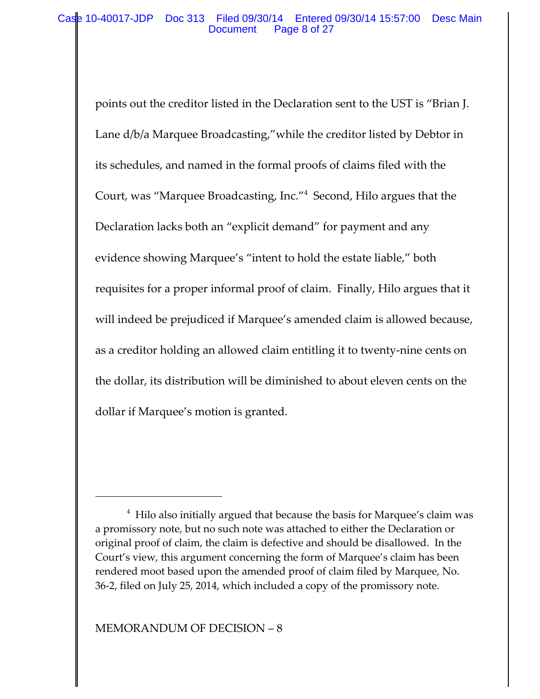points out the creditor listed in the Declaration sent to the UST is "Brian J. Lane d/b/a Marquee Broadcasting,"while the creditor listed by Debtor in its schedules, and named in the formal proofs of claims filed with the Court, was "Marquee Broadcasting, Inc."<sup>4</sup> Second, Hilo argues that the Declaration lacks both an "explicit demand" for payment and any evidence showing Marquee's "intent to hold the estate liable," both requisites for a proper informal proof of claim. Finally, Hilo argues that it will indeed be prejudiced if Marquee's amended claim is allowed because, as a creditor holding an allowed claim entitling it to twenty‐nine cents on the dollar, its distribution will be diminished to about eleven cents on the dollar if Marquee's motion is granted.

<sup>&</sup>lt;sup>4</sup> Hilo also initially argued that because the basis for Marquee's claim was a promissory note, but no such note was attached to either the Declaration or original proof of claim, the claim is defective and should be disallowed. In the Court's view, this argument concerning the form of Marquee's claim has been rendered moot based upon the amended proof of claim filed by Marquee, No. 36‐2, filed on July 25, 2014, which included a copy of the promissory note.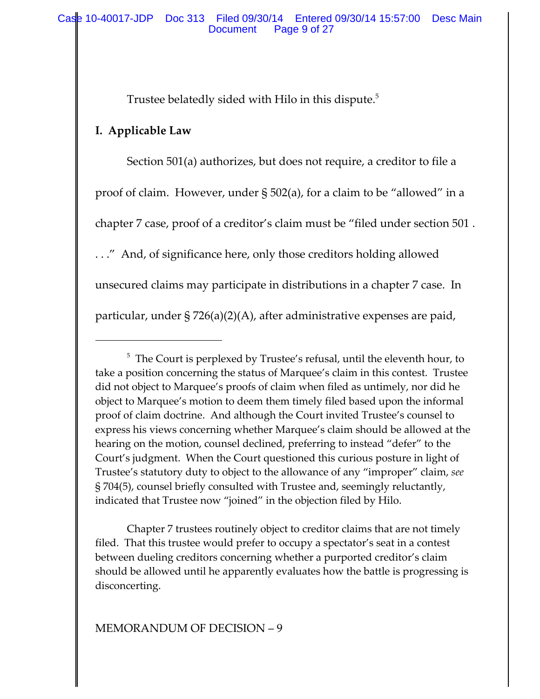Trustee belatedly sided with Hilo in this dispute.<sup>5</sup>

# **I. Applicable Law**

Section 501(a) authorizes, but does not require, a creditor to file a proof of claim. However, under § 502(a), for a claim to be "allowed" in a chapter 7 case, proof of a creditor's claim must be "filed under section 501 . . . ." And, of significance here, only those creditors holding allowed unsecured claims may participate in distributions in a chapter 7 case. In particular, under § 726(a)(2)(A), after administrative expenses are paid,

Chapter 7 trustees routinely object to creditor claims that are not timely filed. That this trustee would prefer to occupy a spectator's seat in a contest between dueling creditors concerning whether a purported creditor's claim should be allowed until he apparently evaluates how the battle is progressing is disconcerting.

 $^5\,$  The Court is perplexed by Trustee's refusal, until the eleventh hour, to take a position concerning the status of Marquee's claim in this contest. Trustee did not object to Marquee's proofs of claim when filed as untimely, nor did he object to Marquee's motion to deem them timely filed based upon the informal proof of claim doctrine. And although the Court invited Trustee's counsel to express his views concerning whether Marquee's claim should be allowed at the hearing on the motion, counsel declined, preferring to instead "defer" to the Court's judgment. When the Court questioned this curious posture in light of Trustee's statutory duty to object to the allowance of any "improper" claim, *see* § 704(5), counsel briefly consulted with Trustee and, seemingly reluctantly, indicated that Trustee now "joined" in the objection filed by Hilo.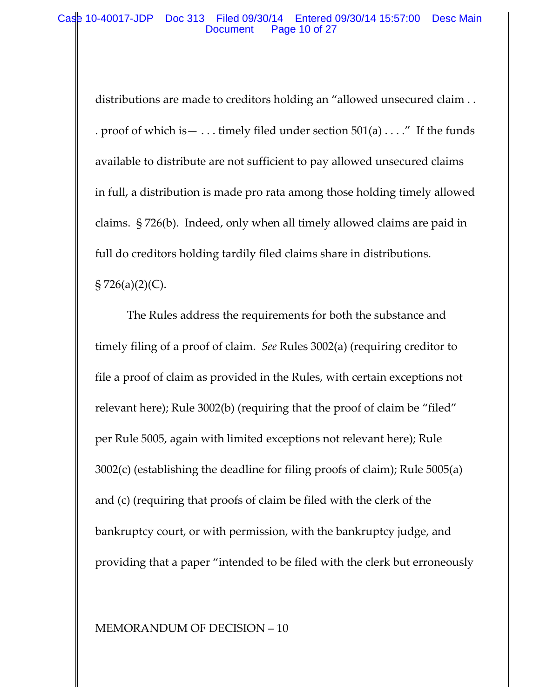### Case 10-40017-JDP Doc 313 Filed 09/30/14 Entered 09/30/14 15:57:00 Desc Main Document Page 10 of 27

distributions are made to creditors holding an "allowed unsecured claim . . . proof of which is  $- \dots$  timely filed under section 501(a)  $\dots$ ." If the funds available to distribute are not sufficient to pay allowed unsecured claims in full, a distribution is made pro rata among those holding timely allowed claims. § 726(b). Indeed, only when all timely allowed claims are paid in full do creditors holding tardily filed claims share in distributions.  $\S 726(a)(2)(C)$ .

The Rules address the requirements for both the substance and timely filing of a proof of claim. *See* Rules 3002(a) (requiring creditor to file a proof of claim as provided in the Rules, with certain exceptions not relevant here); Rule 3002(b) (requiring that the proof of claim be "filed" per Rule 5005, again with limited exceptions not relevant here); Rule 3002(c) (establishing the deadline for filing proofs of claim); Rule 5005(a) and (c) (requiring that proofs of claim be filed with the clerk of the bankruptcy court, or with permission, with the bankruptcy judge, and providing that a paper "intended to be filed with the clerk but erroneously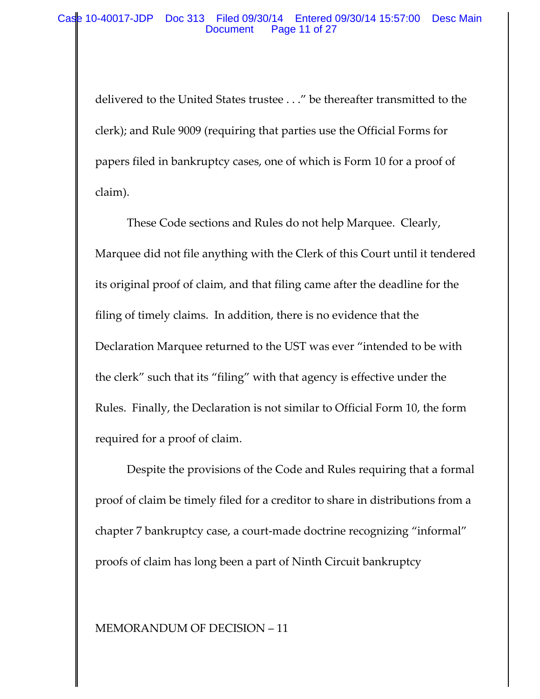delivered to the United States trustee . . ." be thereafter transmitted to the clerk); and Rule 9009 (requiring that parties use the Official Forms for papers filed in bankruptcy cases, one of which is Form 10 for a proof of claim).

These Code sections and Rules do not help Marquee. Clearly, Marquee did not file anything with the Clerk of this Court until it tendered its original proof of claim, and that filing came after the deadline for the filing of timely claims. In addition, there is no evidence that the Declaration Marquee returned to the UST was ever "intended to be with the clerk" such that its "filing" with that agency is effective under the Rules. Finally, the Declaration is not similar to Official Form 10, the form required for a proof of claim.

Despite the provisions of the Code and Rules requiring that a formal proof of claim be timely filed for a creditor to share in distributions from a chapter 7 bankruptcy case, a court‐made doctrine recognizing "informal" proofs of claim has long been a part of Ninth Circuit bankruptcy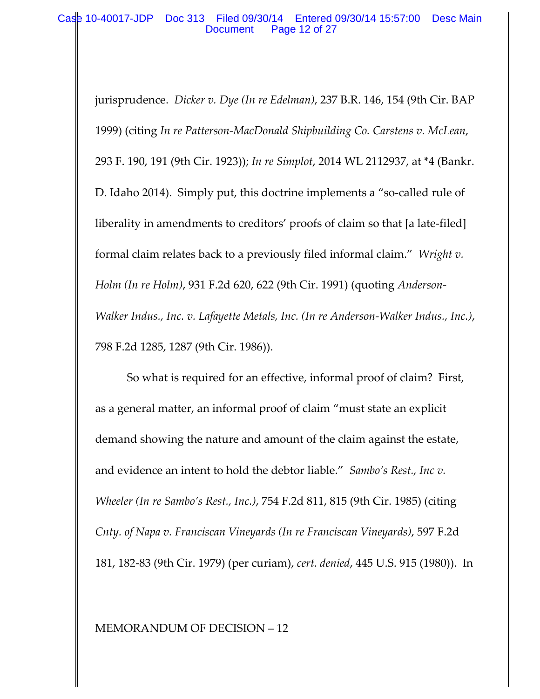### Case 10-40017-JDP Doc 313 Filed 09/30/14 Entered 09/30/14 15:57:00 Desc Main Document Page 12 of 27

jurisprudence. *Dicker v. Dye (In re Edelman)*, 237 B.R. 146, 154 (9th Cir. BAP 1999) (citing *In re Patterson‐MacDonald Shipbuilding Co. Carstens v. McLean*, 293 F. 190, 191 (9th Cir. 1923)); *In re Simplot*, 2014 WL 2112937, at \*4 (Bankr. D. Idaho 2014). Simply put, this doctrine implements a "so-called rule of liberality in amendments to creditors' proofs of claim so that [a late‐filed] formal claim relates back to a previously filed informal claim." *Wright v. Holm (In re Holm)*, 931 F.2d 620, 622 (9th Cir. 1991) (quoting *Anderson‐ Walker Indus., Inc. v. Lafayette Metals, Inc. (In re Anderson‐Walker Indus., Inc.)*, 798 F.2d 1285, 1287 (9th Cir. 1986)).

So what is required for an effective, informal proof of claim? First, as a general matter, an informal proof of claim "must state an explicit demand showing the nature and amount of the claim against the estate, and evidence an intent to hold the debtor liable." *Sambo's Rest., Inc v. Wheeler (In re Sambo's Rest., Inc.)*, 754 F.2d 811, 815 (9th Cir. 1985) (citing *Cnty. of Napa v. Franciscan Vineyards (In re Franciscan Vineyards)*, 597 F.2d 181, 182‐83 (9th Cir. 1979) (per curiam), *cert. denied*, 445 U.S. 915 (1980)). In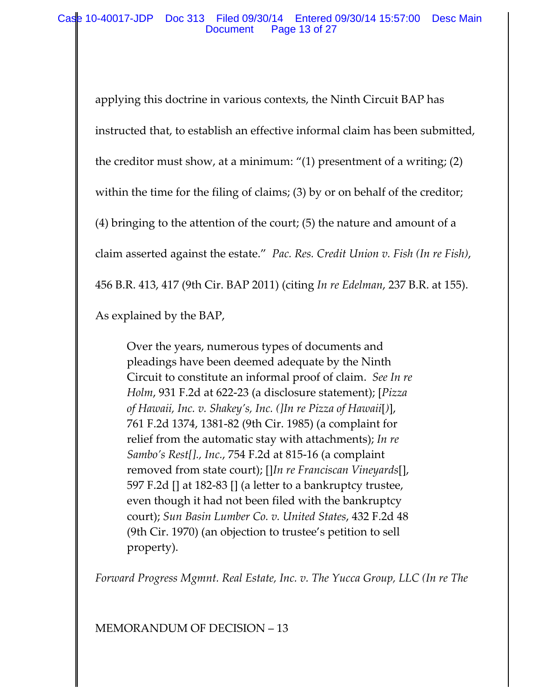applying this doctrine in various contexts, the Ninth Circuit BAP has instructed that, to establish an effective informal claim has been submitted, the creditor must show, at a minimum: "(1) presentment of a writing; (2) within the time for the filing of claims; (3) by or on behalf of the creditor; (4) bringing to the attention of the court; (5) the nature and amount of a claim asserted against the estate." *Pac. Res. Credit Union v. Fish (In re Fish)*, 456 B.R. 413, 417 (9th Cir. BAP 2011) (citing *In re Edelman*, 237 B.R. at 155). As explained by the BAP,

Over the years, numerous types of documents and pleadings have been deemed adequate by the Ninth Circuit to constitute an informal proof of claim. *See In re Holm*, 931 F.2d at 622‐23 (a disclosure statement); [*Pizza of Hawaii, Inc. v. Shakey's, Inc. (]In re Pizza of Hawaii*[*)*], 761 F.2d 1374, 1381‐82 (9th Cir. 1985) (a complaint for relief from the automatic stay with attachments); *In re Sambo's Rest[]., Inc.*, 754 F.2d at 815‐16 (a complaint removed from state court); []*In re Franciscan Vineyards*[], 597 F.2d [] at 182‐83 [] (a letter to a bankruptcy trustee, even though it had not been filed with the bankruptcy court); *Sun Basin Lumber Co. v. United States*, 432 F.2d 48 (9th Cir. 1970) (an objection to trustee's petition to sell property).

*Forward Progress Mgmnt. Real Estate, Inc. v. The Yucca Group, LLC (In re The*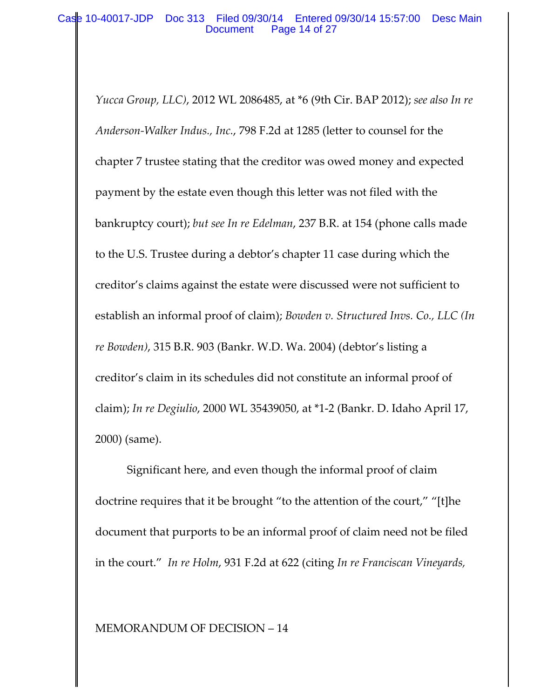*Yucca Group, LLC)*, 2012 WL 2086485, at \*6 (9th Cir. BAP 2012); *see also In re Anderson‐Walker Indus., Inc.*, 798 F.2d at 1285 (letter to counsel for the chapter 7 trustee stating that the creditor was owed money and expected payment by the estate even though this letter was not filed with the bankruptcy court); *but see In re Edelman*, 237 B.R. at 154 (phone calls made to the U.S. Trustee during a debtor's chapter 11 case during which the creditor's claims against the estate were discussed were not sufficient to establish an informal proof of claim); *Bowden v. Structured Invs. Co., LLC (In re Bowden)*, 315 B.R. 903 (Bankr. W.D. Wa. 2004) (debtor's listing a creditor's claim in its schedules did not constitute an informal proof of claim); *In re Degiulio*, 2000 WL 35439050, at \*1‐2 (Bankr. D. Idaho April 17, 2000) (same).

Significant here, and even though the informal proof of claim doctrine requires that it be brought "to the attention of the court," "[t]he document that purports to be an informal proof of claim need not be filed in the court." *In re Holm*, 931 F.2d at 622 (citing *In re Franciscan Vineyards,*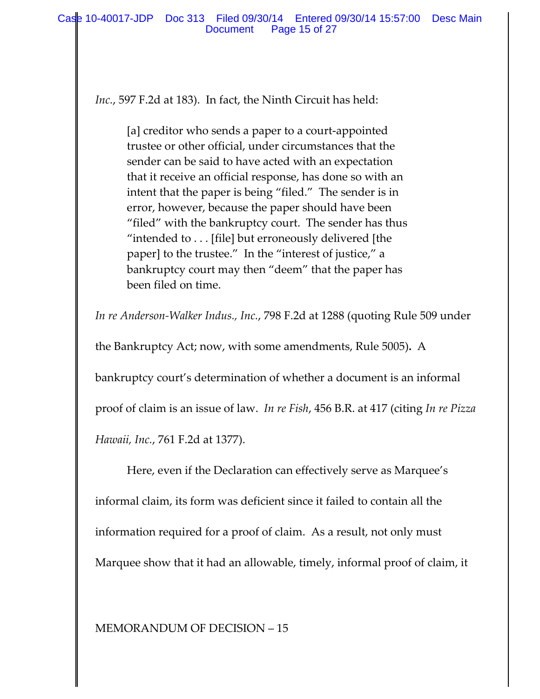*Inc.*, 597 F.2d at 183). In fact, the Ninth Circuit has held:

[a] creditor who sends a paper to a court‐appointed trustee or other official, under circumstances that the sender can be said to have acted with an expectation that it receive an official response, has done so with an intent that the paper is being "filed." The sender is in error, however, because the paper should have been "filed" with the bankruptcy court. The sender has thus "intended to . . . [file] but erroneously delivered [the paper] to the trustee."In the "interest of justice," a bankruptcy court may then "deem" that the paper has been filed on time.

*In re Anderson‐Walker Indus., Inc.*, 798 F.2d at 1288 (quoting Rule 509 under

the Bankruptcy Act; now, with some amendments, Rule 5005)**.** A

bankruptcy court's determination of whether a document is an informal

proof of claim is an issue of law. *In re Fish*, 456 B.R. at 417 (citing *In re Pizza*

*Hawaii, Inc.*, 761 F.2d at 1377).

Here, even if the Declaration can effectively serve as Marquee's informal claim, its form was deficient since it failed to contain all the information required for a proof of claim. As a result, not only must Marquee show that it had an allowable, timely, informal proof of claim, it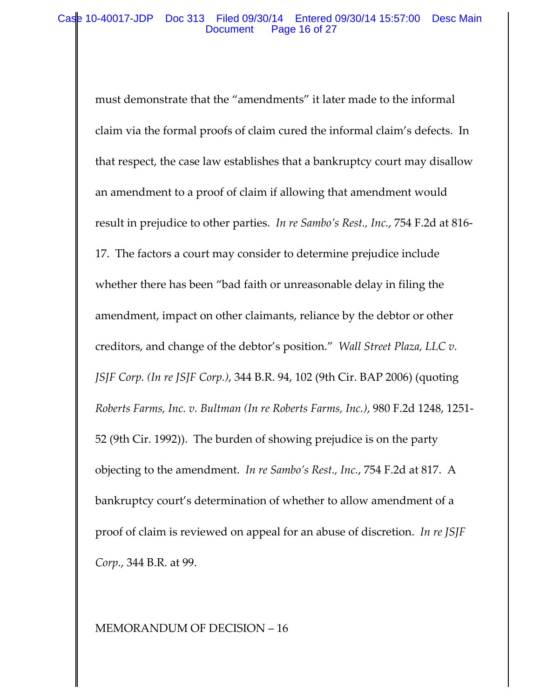### Case 10-40017-JDP Doc 313 Filed 09/30/14 Entered 09/30/14 15:57:00 Desc Main Document Page 16 of 27

must demonstrate that the "amendments" it later made to the informal claim via the formal proofs of claim cured the informal claim's defects. In that respect, the case law establishes that a bankruptcy court may disallow an amendment to a proof of claim if allowing that amendment would result in prejudice to other parties. *In re Sambo's Rest., Inc.*, 754 F.2d at 816‐ 17. The factors a court may consider to determine prejudice include whether there has been "bad faith or unreasonable delay in filing the amendment, impact on other claimants, reliance by the debtor or other creditors, and change of the debtor's position." *Wall Street Plaza, LLC v. JSJF Corp. (In re JSJF Corp.)*, 344 B.R. 94, 102 (9th Cir. BAP 2006) (quoting *Roberts Farms, Inc. v. Bultman (In re Roberts Farms, Inc.)*, 980 F.2d 1248, 1251‐ 52 (9th Cir. 1992)). The burden of showing prejudice is on the party objecting to the amendment. *In re Sambo's Rest., Inc.*, 754 F.2d at 817. A bankruptcy court's determination of whether to allow amendment of a proof of claim is reviewed on appeal for an abuse of discretion. *In re JSJF Corp.*, 344 B.R. at 99.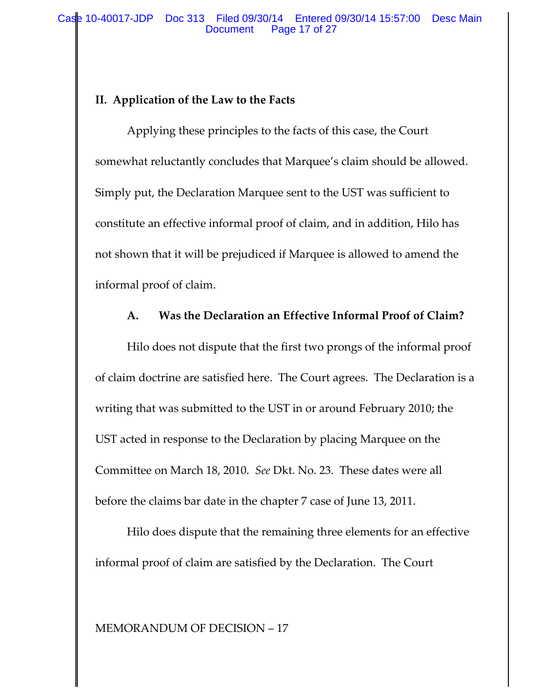## **II. Application of the Law to the Facts**

Applying these principles to the facts of this case, the Court somewhat reluctantly concludes that Marquee's claim should be allowed. Simply put, the Declaration Marquee sent to the UST was sufficient to constitute an effective informal proof of claim, and in addition, Hilo has not shown that it will be prejudiced if Marquee is allowed to amend the informal proof of claim.

## **A. Was the Declaration an Effective Informal Proof of Claim?**

Hilo does not dispute that the first two prongs of the informal proof of claim doctrine are satisfied here. The Court agrees. The Declaration is a writing that was submitted to the UST in or around February 2010; the UST acted in response to the Declaration by placing Marquee on the Committee on March 18, 2010. *See* Dkt. No. 23. These dates were all before the claims bar date in the chapter 7 case of June 13, 2011.

Hilo does dispute that the remaining three elements for an effective informal proof of claim are satisfied by the Declaration. The Court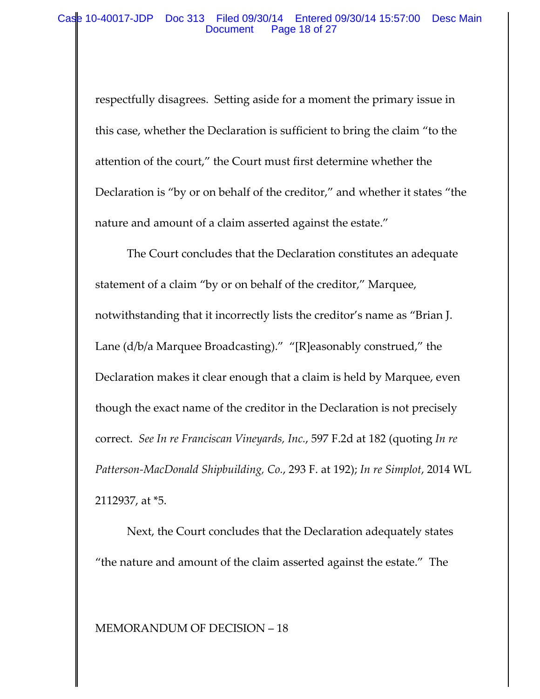### Case 10-40017-JDP Doc 313 Filed 09/30/14 Entered 09/30/14 15:57:00 Desc Main Document Page 18 of 27

respectfully disagrees. Setting aside for a moment the primary issue in this case, whether the Declaration is sufficient to bring the claim "to the attention of the court," the Court must first determine whether the Declaration is "by or on behalf of the creditor," and whether it states "the nature and amount of a claim asserted against the estate."

The Court concludes that the Declaration constitutes an adequate statement of a claim "by or on behalf of the creditor," Marquee, notwithstanding that it incorrectly lists the creditor's name as "Brian J. Lane (d/b/a Marquee Broadcasting)." "[R]easonably construed," the Declaration makes it clear enough that a claim is held by Marquee, even though the exact name of the creditor in the Declaration is not precisely correct. *See In re Franciscan Vineyards, Inc.*, 597 F.2d at 182 (quoting *In re Patterson‐MacDonald Shipbuilding, Co.*, 293 F. at 192); *In re Simplot*, 2014 WL 2112937, at \*5.

Next, the Court concludes that the Declaration adequately states "the nature and amount of the claim asserted against the estate." The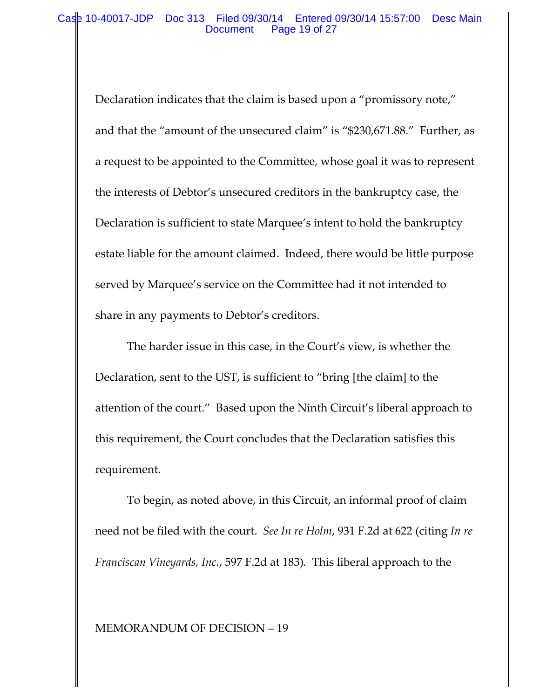### Case 10-40017-JDP Doc 313 Filed 09/30/14 Entered 09/30/14 15:57:00 Desc Main Document Page 19 of 27

Declaration indicates that the claim is based upon a "promissory note," and that the "amount of the unsecured claim" is "\$230,671.88." Further, as a request to be appointed to the Committee, whose goal it was to represent the interests of Debtor's unsecured creditors in the bankruptcy case, the Declaration is sufficient to state Marquee's intent to hold the bankruptcy estate liable for the amount claimed. Indeed, there would be little purpose served by Marquee's service on the Committee had it not intended to share in any payments to Debtor's creditors.

The harder issue in this case, in the Court's view, is whether the Declaration, sent to the UST, is sufficient to "bring [the claim] to the attention of the court." Based upon the Ninth Circuit's liberal approach to this requirement, the Court concludes that the Declaration satisfies this requirement.

To begin, as noted above, in this Circuit, an informal proof of claim need not be filed with the court. *See In re Holm*, 931 F.2d at 622 (citing *In re Franciscan Vineyards, Inc.*, 597 F.2d at 183)*.* This liberal approach to the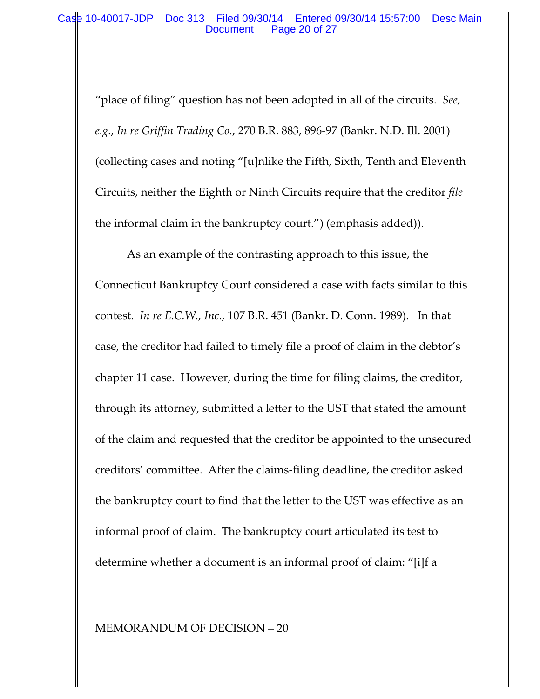"place of filing" question has not been adopted in all of the circuits. *See, e.g.*, *In re Griffin Trading Co.*, 270 B.R. 883, 896‐97 (Bankr. N.D. Ill. 2001) (collecting cases and noting "[u]nlike the Fifth, Sixth, Tenth and Eleventh Circuits, neither the Eighth or Ninth Circuits require that the creditor *file* the informal claim in the bankruptcy court.") (emphasis added)).

As an example of the contrasting approach to this issue, the Connecticut Bankruptcy Court considered a case with facts similar to this contest. *In re E.C.W., Inc.*, 107 B.R. 451 (Bankr. D. Conn. 1989). In that case, the creditor had failed to timely file a proof of claim in the debtor's chapter 11 case. However, during the time for filing claims, the creditor, through its attorney, submitted a letter to the UST that stated the amount of the claim and requested that the creditor be appointed to the unsecured creditors' committee. After the claims‐filing deadline, the creditor asked the bankruptcy court to find that the letter to the UST was effective as an informal proof of claim. The bankruptcy court articulated its test to determine whether a document is an informal proof of claim: "[i]f a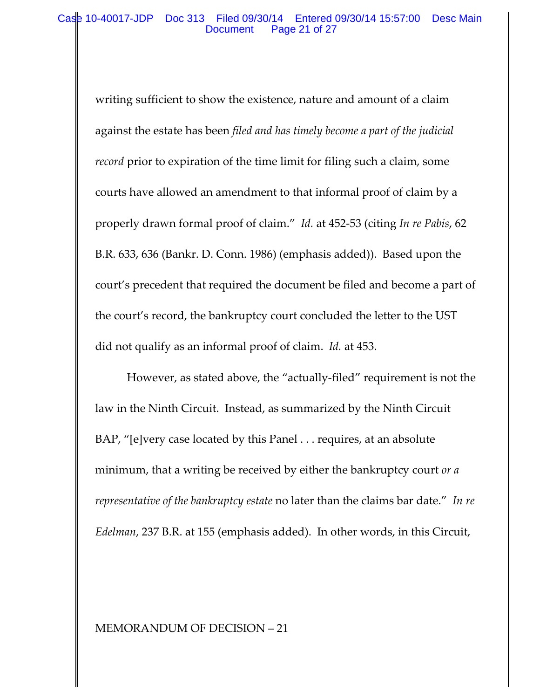### Case 10-40017-JDP Doc 313 Filed 09/30/14 Entered 09/30/14 15:57:00 Desc Main Document Page 21 of 27

writing sufficient to show the existence, nature and amount of a claim against the estate has been *filed and has timely become a part of the judicial record* prior to expiration of the time limit for filing such a claim, some courts have allowed an amendment to that informal proof of claim by a properly drawn formal proof of claim." *Id.* at 452‐53 (citing *In re Pabis*, 62 B.R. 633, 636 (Bankr. D. Conn. 1986) (emphasis added)). Based upon the court's precedent that required the document be filed and become a part of the court's record, the bankruptcy court concluded the letter to the UST did not qualify as an informal proof of claim. *Id.* at 453.

However, as stated above, the "actually‐filed" requirement is not the law in the Ninth Circuit. Instead, as summarized by the Ninth Circuit BAP, "[e]very case located by this Panel . . . requires, at an absolute minimum, that a writing be received by either the bankruptcy court *or a representative of the bankruptcy estate* no later than the claims bar date." *In re Edelman*, 237 B.R. at 155 (emphasis added). In other words, in this Circuit,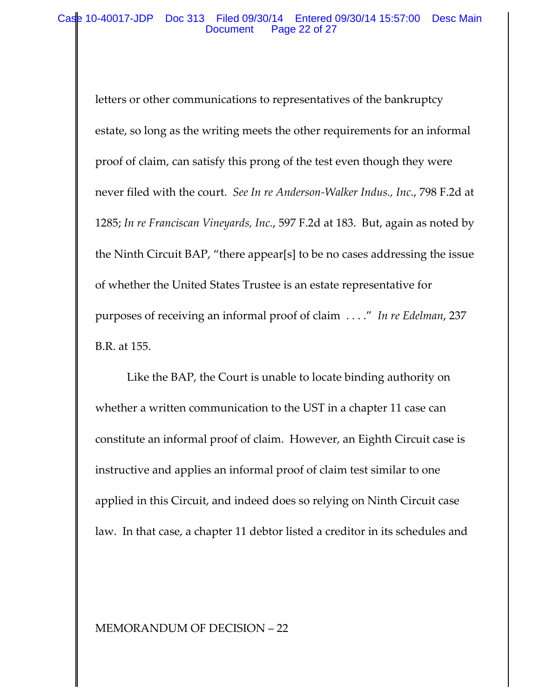### Case 10-40017-JDP Doc 313 Filed 09/30/14 Entered 09/30/14 15:57:00 Desc Main Document Page 22 of 27

letters or other communications to representatives of the bankruptcy estate, so long as the writing meets the other requirements for an informal proof of claim, can satisfy this prong of the test even though they were never filed with the court. *See In re Anderson‐Walker Indus., Inc.*, 798 F.2d at 1285; *In re Franciscan Vineyards, Inc.*, 597 F.2d at 183. But, again as noted by the Ninth Circuit BAP, "there appear[s] to be no cases addressing the issue of whether the United States Trustee is an estate representative for purposes of receiving an informal proof of claim . . . ." *In re Edelman*, 237 B.R. at 155.

Like the BAP, the Court is unable to locate binding authority on whether a written communication to the UST in a chapter 11 case can constitute an informal proof of claim. However, an Eighth Circuit case is instructive and applies an informal proof of claim test similar to one applied in this Circuit, and indeed does so relying on Ninth Circuit case law. In that case, a chapter 11 debtor listed a creditor in its schedules and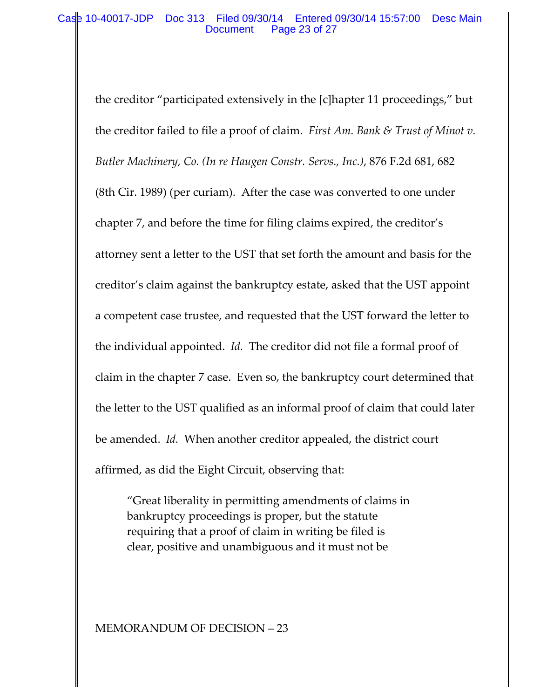### Case 10-40017-JDP Doc 313 Filed 09/30/14 Entered 09/30/14 15:57:00 Desc Main Document Page 23 of 27

the creditor "participated extensively in the [c]hapter 11 proceedings," but the creditor failed to file a proof of claim. *First Am. Bank & Trust of Minot v. Butler Machinery, Co. (In re Haugen Constr. Servs., Inc.)*, 876 F.2d 681, 682 (8th Cir. 1989) (per curiam). After the case was converted to one under chapter 7, and before the time for filing claims expired, the creditor's attorney sent a letter to the UST that set forth the amount and basis for the creditor's claim against the bankruptcy estate, asked that the UST appoint a competent case trustee, and requested that the UST forward the letter to the individual appointed. *Id.* The creditor did not file a formal proof of claim in the chapter 7 case. Even so, the bankruptcy court determined that the letter to the UST qualified as an informal proof of claim that could later be amended. *Id.* When another creditor appealed, the district court affirmed, as did the Eight Circuit, observing that:

"Great liberality in permitting amendments of claims in bankruptcy proceedings is proper, but the statute requiring that a proof of claim in writing be filed is clear, positive and unambiguous and it must not be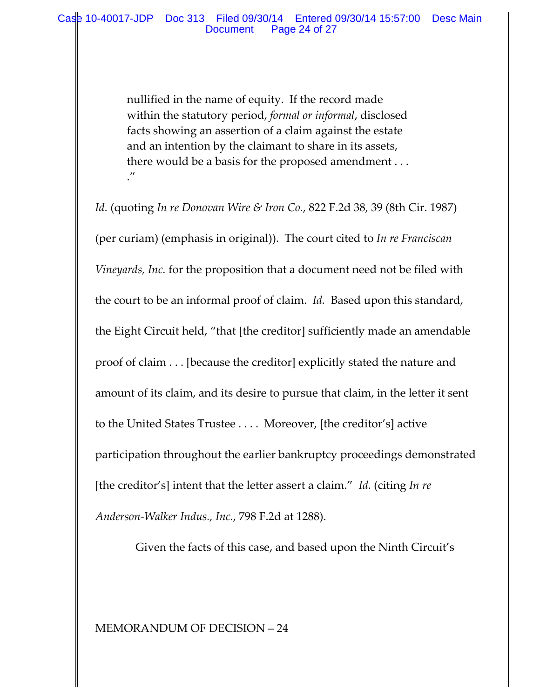nullified in the name of equity. If the record made within the statutory period, *formal or informal*, disclosed facts showing an assertion of a claim against the estate and an intention by the claimant to share in its assets, there would be a basis for the proposed amendment . . .  $^{\prime\prime}$ 

*Id.* (quoting *In re Donovan Wire & Iron Co.*, 822 F.2d 38, 39 (8th Cir. 1987) (per curiam) (emphasis in original)). The court cited to *In re Franciscan Vineyards, Inc.* for the proposition that a document need not be filed with the court to be an informal proof of claim. *Id.* Based upon this standard, the Eight Circuit held, "that [the creditor] sufficiently made an amendable proof of claim . . . [because the creditor] explicitly stated the nature and amount of its claim, and its desire to pursue that claim, in the letter it sent to the United States Trustee . . . . Moreover, [the creditor's] active participation throughout the earlier bankruptcy proceedings demonstrated [the creditor's] intent that the letter assert a claim." *Id.* (citing *In re Anderson‐Walker Indus., Inc.*, 798 F.2d at 1288).

Given the facts of this case, and based upon the Ninth Circuit's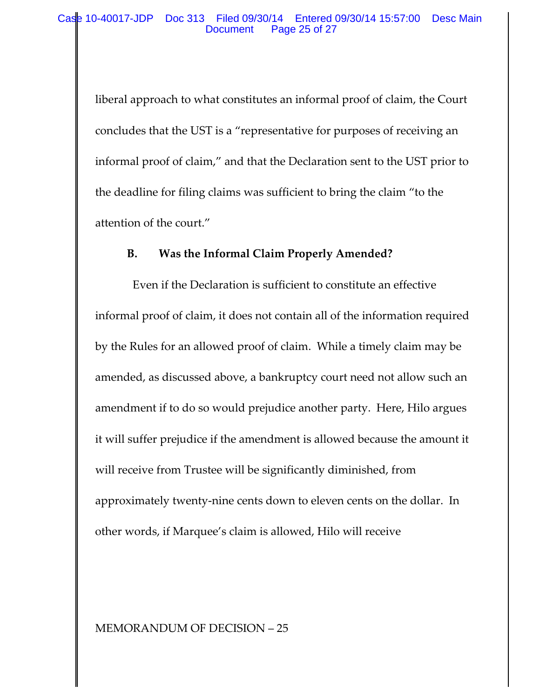liberal approach to what constitutes an informal proof of claim, the Court concludes that the UST is a "representative for purposes of receiving an informal proof of claim," and that the Declaration sent to the UST prior to the deadline for filing claims was sufficient to bring the claim "to the attention of the court."

## **B. Was the Informal Claim Properly Amended?**

 Even if the Declaration is sufficient to constitute an effective informal proof of claim, it does not contain all of the information required by the Rules for an allowed proof of claim. While a timely claim may be amended, as discussed above, a bankruptcy court need not allow such an amendment if to do so would prejudice another party. Here, Hilo argues it will suffer prejudice if the amendment is allowed because the amount it will receive from Trustee will be significantly diminished, from approximately twenty‐nine cents down to eleven cents on the dollar. In other words, if Marquee's claim is allowed, Hilo will receive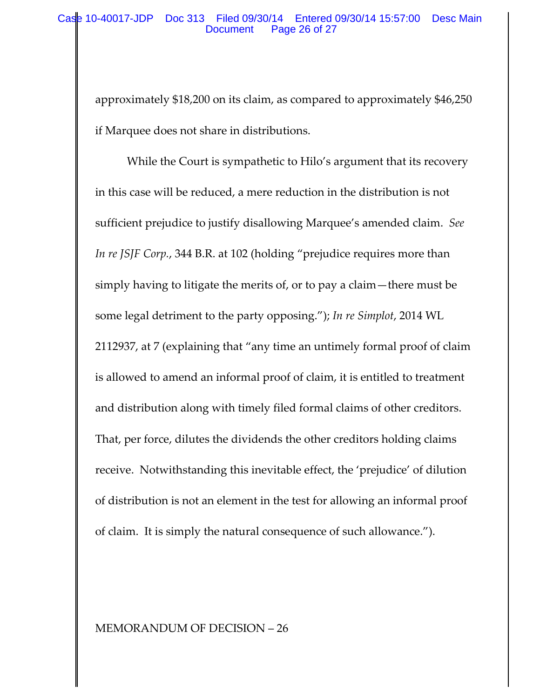approximately \$18,200 on its claim, as compared to approximately \$46,250 if Marquee does not share in distributions.

While the Court is sympathetic to Hilo's argument that its recovery in this case will be reduced, a mere reduction in the distribution is not sufficient prejudice to justify disallowing Marquee's amended claim. *See In re JSJF Corp.*, 344 B.R. at 102 (holding "prejudice requires more than simply having to litigate the merits of, or to pay a claim—there must be some legal detriment to the party opposing."); *In re Simplot*, 2014 WL 2112937, at 7 (explaining that "any time an untimely formal proof of claim is allowed to amend an informal proof of claim, it is entitled to treatment and distribution along with timely filed formal claims of other creditors. That, per force, dilutes the dividends the other creditors holding claims receive. Notwithstanding this inevitable effect, the 'prejudice' of dilution of distribution is not an element in the test for allowing an informal proof of claim. It is simply the natural consequence of such allowance.").